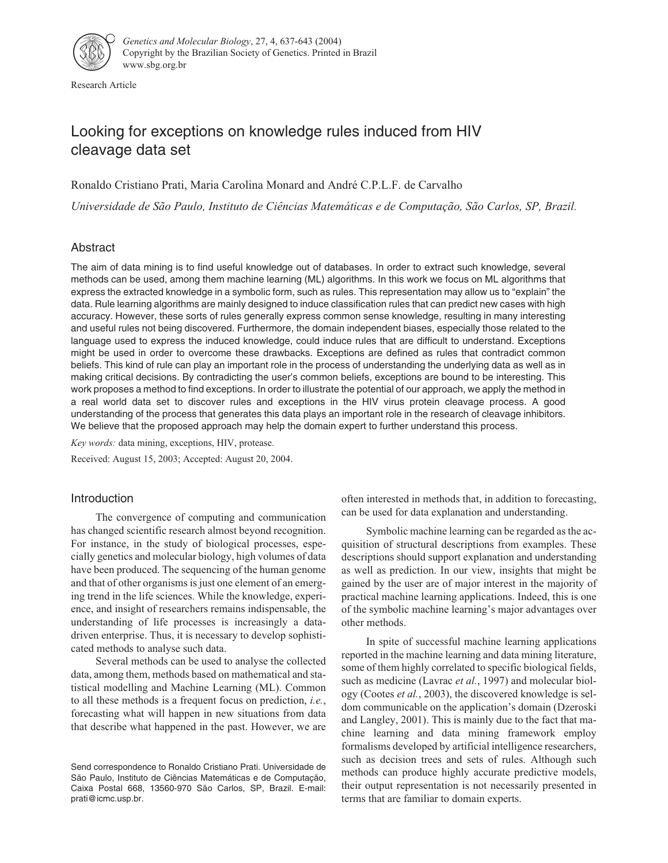

Research Article

# Looking for exceptions on knowledge rules induced from HIV cleavage data set

Ronaldo Cristiano Prati, Maria Carolina Monard and André C.P.L.F. de Carvalho

*Universidade de São Paulo, Instituto de Ciências Matemáticas e de Computação, São Carlos, SP, Brazil.*

# Abstract

The aim of data mining is to find useful knowledge out of databases. In order to extract such knowledge, several methods can be used, among them machine learning (ML) algorithms. In this work we focus on ML algorithms that express the extracted knowledge in a symbolic form, such as rules. This representation may allow us to "explain" the data. Rule learning algorithms are mainly designed to induce classification rules that can predict new cases with high accuracy. However, these sorts of rules generally express common sense knowledge, resulting in many interesting and useful rules not being discovered. Furthermore, the domain independent biases, especially those related to the language used to express the induced knowledge, could induce rules that are difficult to understand. Exceptions might be used in order to overcome these drawbacks. Exceptions are defined as rules that contradict common beliefs. This kind of rule can play an important role in the process of understanding the underlying data as well as in making critical decisions. By contradicting the user's common beliefs, exceptions are bound to be interesting. This work proposes a method to find exceptions. In order to illustrate the potential of our approach, we apply the method in a real world data set to discover rules and exceptions in the HIV virus protein cleavage process. A good understanding of the process that generates this data plays an important role in the research of cleavage inhibitors. We believe that the proposed approach may help the domain expert to further understand this process.

*Key words:* data mining, exceptions, HIV, protease.

Received: August 15, 2003; Accepted: August 20, 2004.

# Introduction

The convergence of computing and communication has changed scientific research almost beyond recognition. For instance, in the study of biological processes, especially genetics and molecular biology, high volumes of data have been produced. The sequencing of the human genome and that of other organisms is just one element of an emerging trend in the life sciences. While the knowledge, experience, and insight of researchers remains indispensable, the understanding of life processes is increasingly a datadriven enterprise. Thus, it is necessary to develop sophisticated methods to analyse such data.

Several methods can be used to analyse the collected data, among them, methods based on mathematical and statistical modelling and Machine Learning (ML). Common to all these methods is a frequent focus on prediction, *i.e.*, forecasting what will happen in new situations from data that describe what happened in the past. However, we are

often interested in methods that, in addition to forecasting, can be used for data explanation and understanding.

Symbolic machine learning can be regarded as the acquisition of structural descriptions from examples. These descriptions should support explanation and understanding as well as prediction. In our view, insights that might be gained by the user are of major interest in the majority of practical machine learning applications. Indeed, this is one of the symbolic machine learning's major advantages over other methods.

In spite of successful machine learning applications reported in the machine learning and data mining literature, some of them highly correlated to specific biological fields, such as medicine (Lavrac *et al.*, 1997) and molecular biology (Cootes *et al.*, 2003), the discovered knowledge is seldom communicable on the application's domain (Dzeroski and Langley, 2001). This is mainly due to the fact that machine learning and data mining framework employ formalisms developed by artificial intelligence researchers, such as decision trees and sets of rules. Although such methods can produce highly accurate predictive models, their output representation is not necessarily presented in terms that are familiar to domain experts.

Send correspondence to Ronaldo Cristiano Prati. Universidade de São Paulo, Instituto de Ciências Matemáticas e de Computação, Caixa Postal 668, 13560-970 São Carlos, SP, Brazil. E-mail: prati@icmc.usp.br.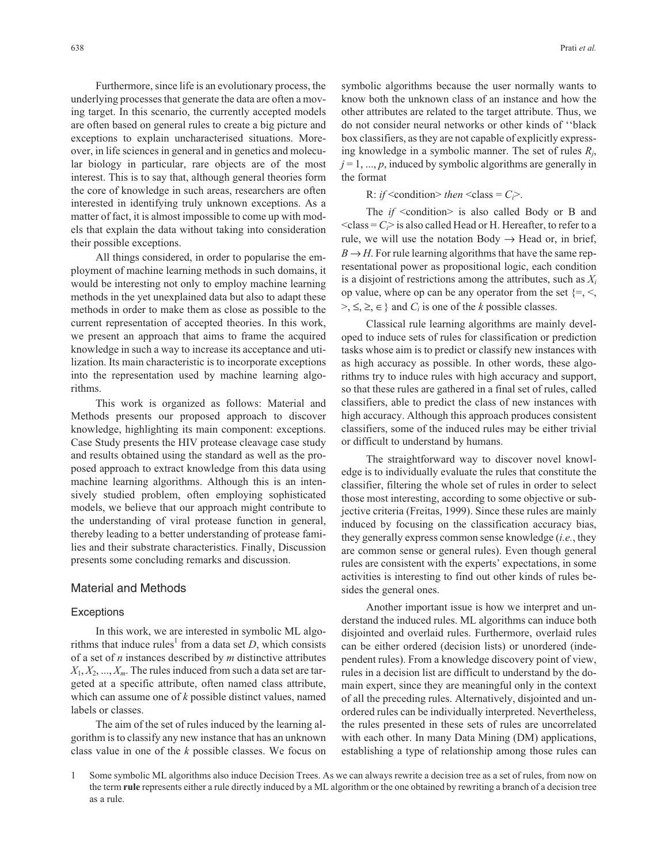Furthermore, since life is an evolutionary process, the underlying processes that generate the data are often a moving target. In this scenario, the currently accepted models are often based on general rules to create a big picture and exceptions to explain uncharacterised situations. Moreover, in life sciences in general and in genetics and molecular biology in particular, rare objects are of the most interest. This is to say that, although general theories form the core of knowledge in such areas, researchers are often interested in identifying truly unknown exceptions. As a matter of fact, it is almost impossible to come up with models that explain the data without taking into consideration their possible exceptions.

All things considered, in order to popularise the employment of machine learning methods in such domains, it would be interesting not only to employ machine learning methods in the yet unexplained data but also to adapt these methods in order to make them as close as possible to the current representation of accepted theories. In this work, we present an approach that aims to frame the acquired knowledge in such a way to increase its acceptance and utilization. Its main characteristic is to incorporate exceptions into the representation used by machine learning algorithms.

This work is organized as follows: Material and Methods presents our proposed approach to discover knowledge, highlighting its main component: exceptions. Case Study presents the HIV protease cleavage case study and results obtained using the standard as well as the proposed approach to extract knowledge from this data using machine learning algorithms. Although this is an intensively studied problem, often employing sophisticated models, we believe that our approach might contribute to the understanding of viral protease function in general, thereby leading to a better understanding of protease families and their substrate characteristics. Finally, Discussion presents some concluding remarks and discussion.

## Material and Methods

#### **Exceptions**

In this work, we are interested in symbolic ML algorithms that induce rules<sup>1</sup> from a data set  $D$ , which consists of a set of *n* instances described by *m* distinctive attributes  $X_1, X_2, \ldots, X_m$ . The rules induced from such a data set are targeted at a specific attribute, often named class attribute, which can assume one of *k* possible distinct values, named labels or classes.

The aim of the set of rules induced by the learning algorithm is to classify any new instance that has an unknown class value in one of the *k* possible classes. We focus on

symbolic algorithms because the user normally wants to know both the unknown class of an instance and how the other attributes are related to the target attribute. Thus, we do not consider neural networks or other kinds of ''black box classifiers, as they are not capable of explicitly expressing knowledge in a symbolic manner. The set of rules *Rj*,  $j = 1, \ldots, p$ , induced by symbolic algorithms are generally in the format

R: *if* < condition > *then* < class =  $C_i$  >.

The *if* <condition> is also called Body or B and  $\langle \text{class} = C \rangle$  is also called Head or H. Hereafter, to refer to a rule, we will use the notation Body  $\rightarrow$  Head or, in brief,  $B \rightarrow H$ . For rule learning algorithms that have the same representational power as propositional logic, each condition is a disjoint of restrictions among the attributes, such as *Xi* op value, where op can be any operator from the set  $\{=, \leq, \leq\}$ >, ≤, ≥, ∈ } and  $C_i$  is one of the *k* possible classes.

Classical rule learning algorithms are mainly developed to induce sets of rules for classification or prediction tasks whose aim is to predict or classify new instances with as high accuracy as possible. In other words, these algorithms try to induce rules with high accuracy and support, so that these rules are gathered in a final set of rules, called classifiers, able to predict the class of new instances with high accuracy. Although this approach produces consistent classifiers, some of the induced rules may be either trivial or difficult to understand by humans.

The straightforward way to discover novel knowledge is to individually evaluate the rules that constitute the classifier, filtering the whole set of rules in order to select those most interesting, according to some objective or subjective criteria (Freitas, 1999). Since these rules are mainly induced by focusing on the classification accuracy bias, they generally express common sense knowledge (*i.e.*, they are common sense or general rules). Even though general rules are consistent with the experts' expectations, in some activities is interesting to find out other kinds of rules besides the general ones.

Another important issue is how we interpret and understand the induced rules. ML algorithms can induce both disjointed and overlaid rules. Furthermore, overlaid rules can be either ordered (decision lists) or unordered (independent rules). From a knowledge discovery point of view, rules in a decision list are difficult to understand by the domain expert, since they are meaningful only in the context of all the preceding rules. Alternatively, disjointed and unordered rules can be individually interpreted. Nevertheless, the rules presented in these sets of rules are uncorrelated with each other. In many Data Mining (DM) applications, establishing a type of relationship among those rules can

<sup>1</sup> Some symbolic ML algorithms also induce Decision Trees. As we can always rewrite a decision tree as a set of rules, from now on the term **rule** represents either a rule directly induced by a ML algorithm or the one obtained by rewriting a branch of a decision tree as a rule.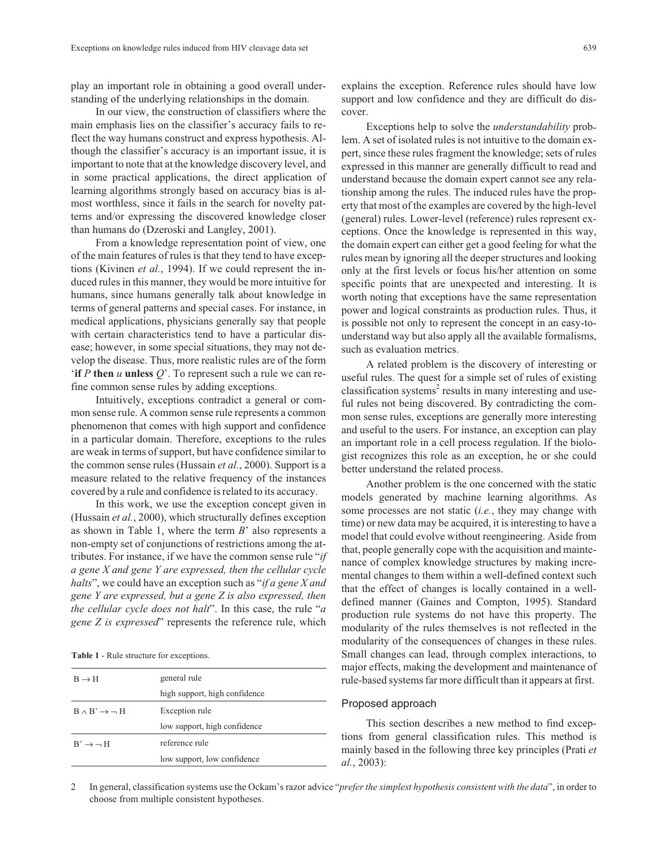play an important role in obtaining a good overall understanding of the underlying relationships in the domain.

In our view, the construction of classifiers where the main emphasis lies on the classifier's accuracy fails to reflect the way humans construct and express hypothesis. Although the classifier's accuracy is an important issue, it is important to note that at the knowledge discovery level, and in some practical applications, the direct application of learning algorithms strongly based on accuracy bias is almost worthless, since it fails in the search for novelty patterns and/or expressing the discovered knowledge closer than humans do (Dzeroski and Langley, 2001).

From a knowledge representation point of view, one of the main features of rules is that they tend to have exceptions (Kivinen *et al.*, 1994). If we could represent the induced rules in this manner, they would be more intuitive for humans, since humans generally talk about knowledge in terms of general patterns and special cases. For instance, in medical applications, physicians generally say that people with certain characteristics tend to have a particular disease; however, in some special situations, they may not develop the disease. Thus, more realistic rules are of the form '**if** *<sup>P</sup>* **then** *<sup>u</sup>* **unless** *<sup>Q</sup>*'. To represent such a rule we can refine common sense rules by adding exceptions.

Intuitively, exceptions contradict a general or common sense rule. A common sense rule represents a common phenomenon that comes with high support and confidence in a particular domain. Therefore, exceptions to the rules are weak in terms of support, but have confidence similar to the common sense rules (Hussain *et al.*, 2000). Support is a measure related to the relative frequency of the instances covered by a rule and confidence is related to its accuracy.

In this work, we use the exception concept given in (Hussain *et al.*, 2000), which structurally defines exception as shown in Table 1, where the term *B*' also represents a non-empty set of conjunctions of restrictions among the attributes. For instance, if we have the common sense rule "*if a gene X and gene Y are expressed, then the cellular cycle halts*", we could have an exception such as "*if a gene X and gene Y are expressed, but a gene Z is also expressed, then the cellular cycle does not halt*". In this case, the rule "*a gene Z is expressed*" represents the reference rule, which

**Table 1** - Rule structure for exceptions.

| $B \rightarrow H$                | general rule                  |  |
|----------------------------------|-------------------------------|--|
|                                  | high support, high confidence |  |
| $B \wedge B' \rightarrow \neg H$ | Exception rule                |  |
|                                  | low support, high confidence  |  |
| $B' \rightarrow \neg H$          | reference rule                |  |
|                                  | low support, low confidence   |  |
|                                  |                               |  |

explains the exception. Reference rules should have low support and low confidence and they are difficult do discover.

Exceptions help to solve the *understandability* problem. A set of isolated rules is not intuitive to the domain expert, since these rules fragment the knowledge; sets of rules expressed in this manner are generally difficult to read and understand because the domain expert cannot see any relationship among the rules. The induced rules have the property that most of the examples are covered by the high-level (general) rules. Lower-level (reference) rules represent exceptions. Once the knowledge is represented in this way, the domain expert can either get a good feeling for what the rules mean by ignoring all the deeper structures and looking only at the first levels or focus his/her attention on some specific points that are unexpected and interesting. It is worth noting that exceptions have the same representation power and logical constraints as production rules. Thus, it is possible not only to represent the concept in an easy-tounderstand way but also apply all the available formalisms, such as evaluation metrics.

A related problem is the discovery of interesting or useful rules. The quest for a simple set of rules of existing classification systems<sup>2</sup> results in many interesting and useful rules not being discovered. By contradicting the common sense rules, exceptions are generally more interesting and useful to the users. For instance, an exception can play an important role in a cell process regulation. If the biologist recognizes this role as an exception, he or she could better understand the related process.

Another problem is the one concerned with the static models generated by machine learning algorithms. As some processes are not static (*i.e.*, they may change with time) or new data may be acquired, it is interesting to have a model that could evolve without reengineering. Aside from that, people generally cope with the acquisition and maintenance of complex knowledge structures by making incremental changes to them within a well-defined context such that the effect of changes is locally contained in a welldefined manner (Gaines and Compton, 1995). Standard production rule systems do not have this property. The modularity of the rules themselves is not reflected in the modularity of the consequences of changes in these rules. Small changes can lead, through complex interactions, to major effects, making the development and maintenance of rule-based systems far more difficult than it appears at first.

#### Proposed approach

This section describes a new method to find exceptions from general classification rules. This method is mainly based in the following three key principles (Prati *et al.*, 2003):

2 In general, classification systems use the Ockam's razor advice "*prefer the simplest hypothesis consistent with the data*", in order to choose from multiple consistent hypotheses.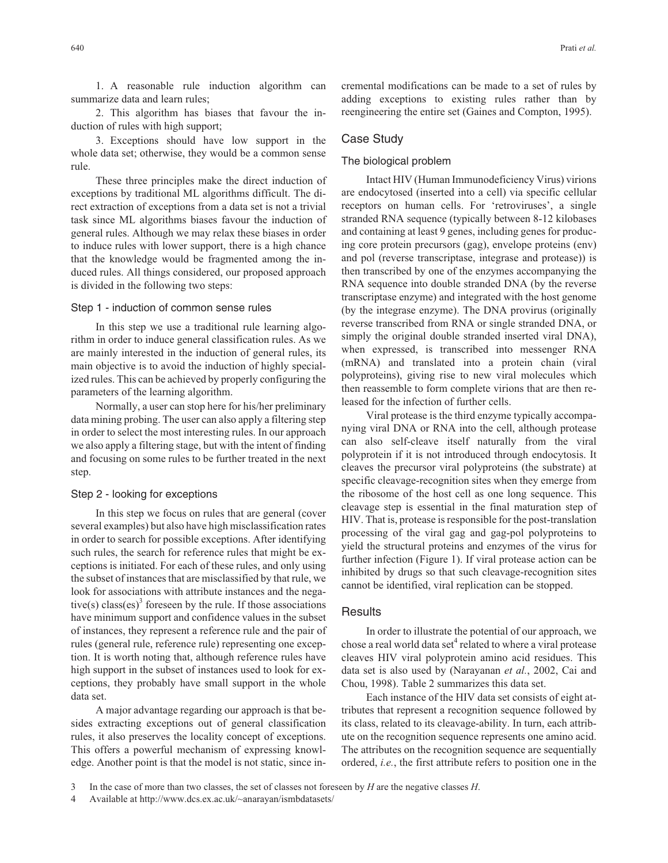1. A reasonable rule induction algorithm can summarize data and learn rules;

2. This algorithm has biases that favour the induction of rules with high support;

3. Exceptions should have low support in the whole data set; otherwise, they would be a common sense rule.

These three principles make the direct induction of exceptions by traditional ML algorithms difficult. The direct extraction of exceptions from a data set is not a trivial task since ML algorithms biases favour the induction of general rules. Although we may relax these biases in order to induce rules with lower support, there is a high chance that the knowledge would be fragmented among the induced rules. All things considered, our proposed approach is divided in the following two steps:

Step 1 - induction of common sense rules

In this step we use a traditional rule learning algorithm in order to induce general classification rules. As we are mainly interested in the induction of general rules, its main objective is to avoid the induction of highly specialized rules. This can be achieved by properly configuring the parameters of the learning algorithm.

Normally, a user can stop here for his/her preliminary data mining probing. The user can also apply a filtering step in order to select the most interesting rules. In our approach we also apply a filtering stage, but with the intent of finding and focusing on some rules to be further treated in the next step.

## Step 2 - looking for exceptions

In this step we focus on rules that are general (cover several examples) but also have high misclassification rates in order to search for possible exceptions. After identifying such rules, the search for reference rules that might be exceptions is initiated. For each of these rules, and only using the subset of instances that are misclassified by that rule, we look for associations with attribute instances and the negative(s) class(es)<sup>3</sup> foreseen by the rule. If those associations have minimum support and confidence values in the subset of instances, they represent a reference rule and the pair of rules (general rule, reference rule) representing one exception. It is worth noting that, although reference rules have high support in the subset of instances used to look for exceptions, they probably have small support in the whole data set.

A major advantage regarding our approach is that besides extracting exceptions out of general classification rules, it also preserves the locality concept of exceptions. This offers a powerful mechanism of expressing knowledge. Another point is that the model is not static, since incremental modifications can be made to a set of rules by adding exceptions to existing rules rather than by reengineering the entire set (Gaines and Compton, 1995).

## Case Study

## The biological problem

Intact HIV (Human Immunodeficiency Virus) virions are endocytosed (inserted into a cell) via specific cellular receptors on human cells. For 'retroviruses', a single stranded RNA sequence (typically between 8-12 kilobases and containing at least 9 genes, including genes for producing core protein precursors (gag), envelope proteins (env) and pol (reverse transcriptase, integrase and protease)) is then transcribed by one of the enzymes accompanying the RNA sequence into double stranded DNA (by the reverse transcriptase enzyme) and integrated with the host genome (by the integrase enzyme). The DNA provirus (originally reverse transcribed from RNA or single stranded DNA, or simply the original double stranded inserted viral DNA), when expressed, is transcribed into messenger RNA (mRNA) and translated into a protein chain (viral polyproteins), giving rise to new viral molecules which then reassemble to form complete virions that are then released for the infection of further cells.

Viral protease is the third enzyme typically accompanying viral DNA or RNA into the cell, although protease can also self-cleave itself naturally from the viral polyprotein if it is not introduced through endocytosis. It cleaves the precursor viral polyproteins (the substrate) at specific cleavage-recognition sites when they emerge from the ribosome of the host cell as one long sequence. This cleavage step is essential in the final maturation step of HIV. That is, protease is responsible for the post-translation processing of the viral gag and gag-pol polyproteins to yield the structural proteins and enzymes of the virus for further infection (Figure 1). If viral protease action can be inhibited by drugs so that such cleavage-recognition sites cannot be identified, viral replication can be stopped.

## **Results**

In order to illustrate the potential of our approach, we chose a real world data set<sup>4</sup> related to where a viral protease cleaves HIV viral polyprotein amino acid residues. This data set is also used by (Narayanan *et al.*, 2002, Cai and Chou, 1998). Table 2 summarizes this data set.

Each instance of the HIV data set consists of eight attributes that represent a recognition sequence followed by its class, related to its cleavage-ability. In turn, each attribute on the recognition sequence represents one amino acid. The attributes on the recognition sequence are sequentially ordered, *i.e.*, the first attribute refers to position one in the

4 Available at http://www.dcs.ex.ac.uk/~anarayan/ismbdatasets/

<sup>3</sup> In the case of more than two classes, the set of classes not foreseen by *H* are the negative classes *H*.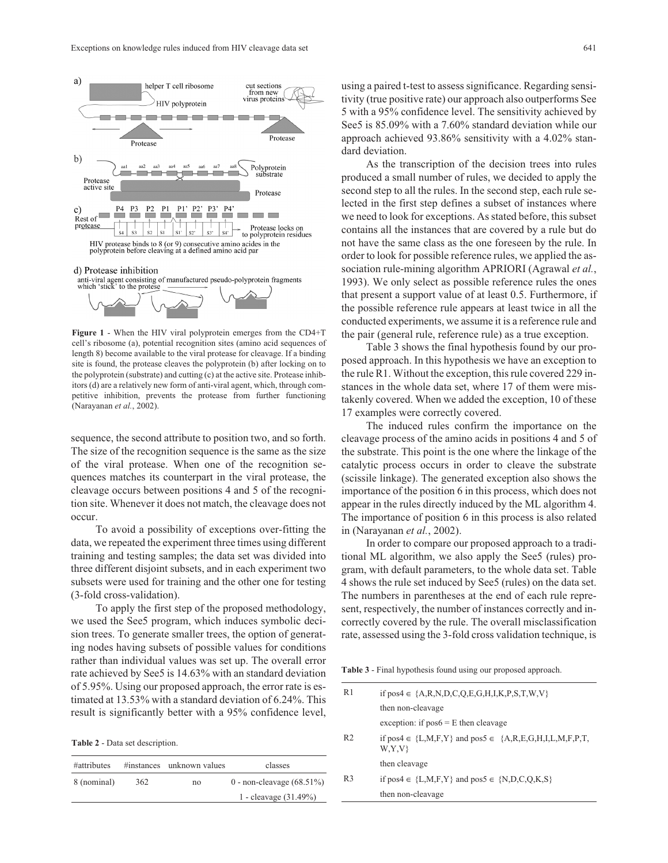



**Figure 1** - When the HIV viral polyprotein emerges from the CD4+T cell's ribosome (a), potential recognition sites (amino acid sequences of length 8) become available to the viral protease for cleavage. If a binding site is found, the protease cleaves the polyprotein (b) after locking on to the polyprotein (substrate) and cutting (c) at the active site. Protease inhibitors (d) are a relatively new form of anti-viral agent, which, through competitive inhibition, prevents the protease from further functioning (Narayanan *et al.*, 2002).

sequence, the second attribute to position two, and so forth. The size of the recognition sequence is the same as the size of the viral protease. When one of the recognition sequences matches its counterpart in the viral protease, the cleavage occurs between positions 4 and 5 of the recognition site. Whenever it does not match, the cleavage does not occur.

To avoid a possibility of exceptions over-fitting the data, we repeated the experiment three times using different training and testing samples; the data set was divided into three different disjoint subsets, and in each experiment two subsets were used for training and the other one for testing (3-fold cross-validation).

To apply the first step of the proposed methodology, we used the See5 program, which induces symbolic decision trees. To generate smaller trees, the option of generating nodes having subsets of possible values for conditions rather than individual values was set up. The overall error rate achieved by See5 is 14.63% with an standard deviation of 5.95%. Using our proposed approach, the error rate is estimated at 13.53% with a standard deviation of 6.24%. This result is significantly better with a 95% confidence level,

**Table 2** - Data set description.

| #attributes |     | #instances unknown values | classes                      |
|-------------|-----|---------------------------|------------------------------|
| 8 (nominal) | 362 | no                        | 0 - non-cleavage $(68.51\%)$ |
|             |     |                           | 1 - cleavage $(31.49\%)$     |

using a paired t-test to assess significance. Regarding sensitivity (true positive rate) our approach also outperforms See 5 with a 95% confidence level. The sensitivity achieved by See5 is 85.09% with a 7.60% standard deviation while our approach achieved 93.86% sensitivity with a 4.02% standard deviation.

As the transcription of the decision trees into rules produced a small number of rules, we decided to apply the second step to all the rules. In the second step, each rule selected in the first step defines a subset of instances where we need to look for exceptions. As stated before, this subset contains all the instances that are covered by a rule but do not have the same class as the one foreseen by the rule. In order to look for possible reference rules, we applied the association rule-mining algorithm APRIORI (Agrawal *et al.*, 1993). We only select as possible reference rules the ones that present a support value of at least 0.5. Furthermore, if the possible reference rule appears at least twice in all the conducted experiments, we assume it is a reference rule and the pair (general rule, reference rule) as a true exception.

Table 3 shows the final hypothesis found by our proposed approach. In this hypothesis we have an exception to the rule R1. Without the exception, this rule covered 229 instances in the whole data set, where 17 of them were mistakenly covered. When we added the exception, 10 of these 17 examples were correctly covered.

The induced rules confirm the importance on the cleavage process of the amino acids in positions 4 and 5 of the substrate. This point is the one where the linkage of the catalytic process occurs in order to cleave the substrate (scissile linkage). The generated exception also shows the importance of the position 6 in this process, which does not appear in the rules directly induced by the ML algorithm 4. The importance of position 6 in this process is also related in (Narayanan *et al.*, 2002).

In order to compare our proposed approach to a traditional ML algorithm, we also apply the See5 (rules) program, with default parameters, to the whole data set. Table 4 shows the rule set induced by See5 (rules) on the data set. The numbers in parentheses at the end of each rule represent, respectively, the number of instances correctly and incorrectly covered by the rule. The overall misclassification rate, assessed using the 3-fold cross validation technique, is

**Table 3** - Final hypothesis found using our proposed approach.

| R <sub>1</sub> | if pos4 $\in \{A,R,N,D,C,Q,E,G,H,I,K,P,S,T,W,V\}$                            |  |  |
|----------------|------------------------------------------------------------------------------|--|--|
|                | then non-cleavage                                                            |  |  |
|                | exception: if $pos6 = E$ then cleavage                                       |  |  |
| R <sub>2</sub> | if pos4 $\in \{L,M,F,Y\}$ and pos5 $\in \{A,R,E,G,H,I,L,M,F,P,T,\}$<br>W,Y,V |  |  |
|                | then cleavage                                                                |  |  |
| R <sub>3</sub> | if pos4 $\in \{L,M,F,Y\}$ and pos5 $\in \{N,D,C,Q,K,S\}$                     |  |  |
|                | then non-cleavage                                                            |  |  |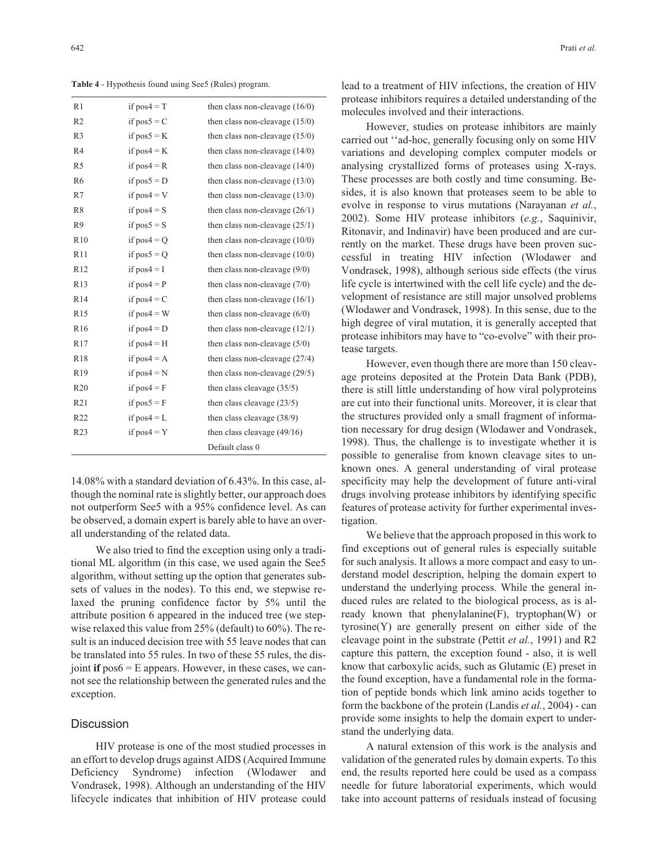**Table 4** - Hypothesis found using See5 (Rules) program.

| R <sub>1</sub>  | if $pos4 = T$ | then class non-cleavage $(16/0)$ |
|-----------------|---------------|----------------------------------|
| R <sub>2</sub>  | if $pos5 = C$ | then class non-cleavage $(15/0)$ |
| R <sub>3</sub>  | if $pos5 = K$ | then class non-cleavage $(15/0)$ |
| R <sub>4</sub>  | if $pos4 = K$ | then class non-cleavage $(14/0)$ |
| R <sub>5</sub>  | if $pos4 = R$ | then class non-cleavage $(14/0)$ |
| R <sub>6</sub>  | if $pos5 = D$ | then class non-cleavage $(13/0)$ |
| R7              | if $pos4 = V$ | then class non-cleavage $(13/0)$ |
| R <sub>8</sub>  | if $pos4 = S$ | then class non-cleavage $(26/1)$ |
| R <sub>9</sub>  | if $pos5 = S$ | then class non-cleavage $(25/1)$ |
| R10             | if $pos4 = Q$ | then class non-cleavage $(10/0)$ |
| R11             | if $pos5 = Q$ | then class non-cleavage $(10/0)$ |
| R12             | if $pos4 = I$ | then class non-cleavage $(9/0)$  |
| R <sub>13</sub> | if $pos4 = P$ | then class non-cleavage $(7/0)$  |
| R <sub>14</sub> | if $pos4 = C$ | then class non-cleavage $(16/1)$ |
| R15             | if $pos4 = W$ | then class non-cleavage $(6/0)$  |
| R <sub>16</sub> | if $pos4 = D$ | then class non-cleavage $(12/1)$ |
| R <sub>17</sub> | if $pos4 = H$ | then class non-cleavage $(5/0)$  |
| <b>R18</b>      | if $pos4 = A$ | then class non-cleavage $(27/4)$ |
| R <sub>19</sub> | if $pos4 = N$ | then class non-cleavage (29/5)   |
| R <sub>20</sub> | if $pos4 = F$ | then class cleavage $(35/5)$     |
| R <sub>21</sub> | if $pos5 = F$ | then class cleavage $(23/5)$     |
| R <sub>22</sub> | if $pos4 = L$ | then class cleavage $(38/9)$     |
| R <sub>23</sub> | if $pos4 = Y$ | then class cleavage $(49/16)$    |
|                 |               | Default class 0                  |

14.08% with a standard deviation of 6.43%. In this case, although the nominal rate is slightly better, our approach does not outperform See5 with a 95% confidence level. As can be observed, a domain expert is barely able to have an overall understanding of the related data.

We also tried to find the exception using only a traditional ML algorithm (in this case, we used again the See5 algorithm, without setting up the option that generates subsets of values in the nodes). To this end, we stepwise relaxed the pruning confidence factor by 5% until the attribute position 6 appeared in the induced tree (we stepwise relaxed this value from 25% (default) to 60%). The result is an induced decision tree with 55 leave nodes that can be translated into 55 rules. In two of these 55 rules, the disjoint **if** pos6 = E appears. However, in these cases, we cannot see the relationship between the generated rules and the exception.

## **Discussion**

HIV protease is one of the most studied processes in an effort to develop drugs against AIDS (Acquired Immune Deficiency Syndrome) infection (Wlodawer and Vondrasek, 1998). Although an understanding of the HIV lifecycle indicates that inhibition of HIV protease could lead to a treatment of HIV infections, the creation of HIV protease inhibitors requires a detailed understanding of the molecules involved and their interactions.

However, studies on protease inhibitors are mainly carried out ''ad-hoc, generally focusing only on some HIV variations and developing complex computer models or analysing crystallized forms of proteases using X-rays. These processes are both costly and time consuming. Besides, it is also known that proteases seem to be able to evolve in response to virus mutations (Narayanan *et al.*, 2002). Some HIV protease inhibitors (*e.g.*, Saquinivir, Ritonavir, and Indinavir) have been produced and are currently on the market. These drugs have been proven successful in treating HIV infection (Wlodawer and Vondrasek, 1998), although serious side effects (the virus life cycle is intertwined with the cell life cycle) and the development of resistance are still major unsolved problems (Wlodawer and Vondrasek, 1998). In this sense, due to the high degree of viral mutation, it is generally accepted that protease inhibitors may have to "co-evolve" with their protease targets.

However, even though there are more than 150 cleavage proteins deposited at the Protein Data Bank (PDB), there is still little understanding of how viral polyproteins are cut into their functional units. Moreover, it is clear that the structures provided only a small fragment of information necessary for drug design (Wlodawer and Vondrasek, 1998). Thus, the challenge is to investigate whether it is possible to generalise from known cleavage sites to unknown ones. A general understanding of viral protease specificity may help the development of future anti-viral drugs involving protease inhibitors by identifying specific features of protease activity for further experimental investigation.

We believe that the approach proposed in this work to find exceptions out of general rules is especially suitable for such analysis. It allows a more compact and easy to understand model description, helping the domain expert to understand the underlying process. While the general induced rules are related to the biological process, as is already known that phenylalanine(F), tryptophan(W) or tyrosine(Y) are generally present on either side of the cleavage point in the substrate (Pettit *et al.*, 1991) and R2 capture this pattern, the exception found - also, it is well know that carboxylic acids, such as Glutamic (E) preset in the found exception, have a fundamental role in the formation of peptide bonds which link amino acids together to form the backbone of the protein (Landis *et al.*, 2004) - can provide some insights to help the domain expert to understand the underlying data.

A natural extension of this work is the analysis and validation of the generated rules by domain experts. To this end, the results reported here could be used as a compass needle for future laboratorial experiments, which would take into account patterns of residuals instead of focusing